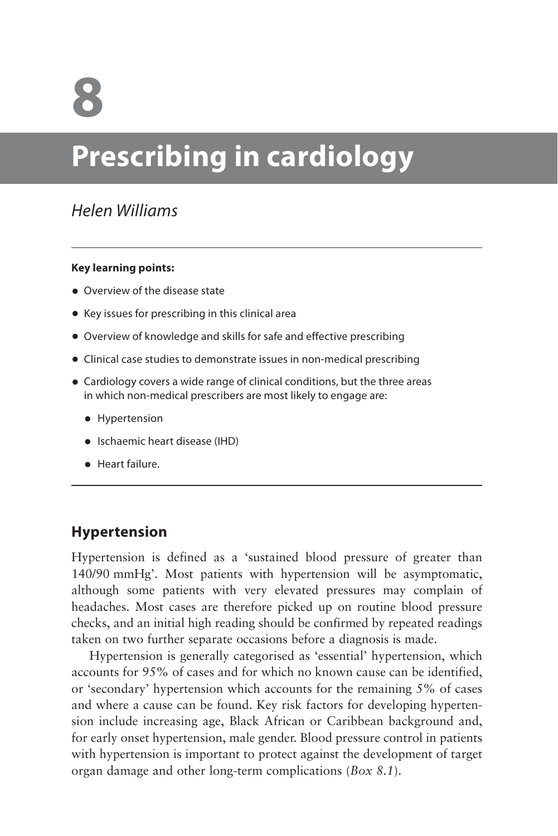**8**

# **Prescribing in cardiology**

# Helen Williams

#### **Key learning points:**

- Overview of the disease state
- Key issues for prescribing in this clinical area
- Overview of knowledge and skills for safe and effective prescribing
- Clinical case studies to demonstrate issues in non-medical prescribing
- Cardiology covers a wide range of clinical conditions, but the three areas in which non-medical prescribers are most likely to engage are:
	- Hypertension
	- Ischaemic heart disease (IHD)
	- Heart failure.

# **Hypertension**

Hypertension is defined as a 'sustained blood pressure of greater than 140/90 mmHg'. Most patients with hypertension will be asymptomatic, although some patients with very elevated pressures may complain of headaches. Most cases are therefore picked up on routine blood pressure checks, and an initial high reading should be confirmed by repeated readings taken on two further separate occasions before a diagnosis is made.

Hypertension is generally categorised as 'essential' hypertension, which accounts for 95% of cases and for which no known cause can be identified, or 'secondary' hypertension which accounts for the remaining 5% of cases and where a cause can be found. Key risk factors for developing hypertension include increasing age, Black African or Caribbean background and, for early onset hypertension, male gender. Blood pressure control in patients with hypertension is important to protect against the development of target organ damage and other long-term complications (*Box 8.1*).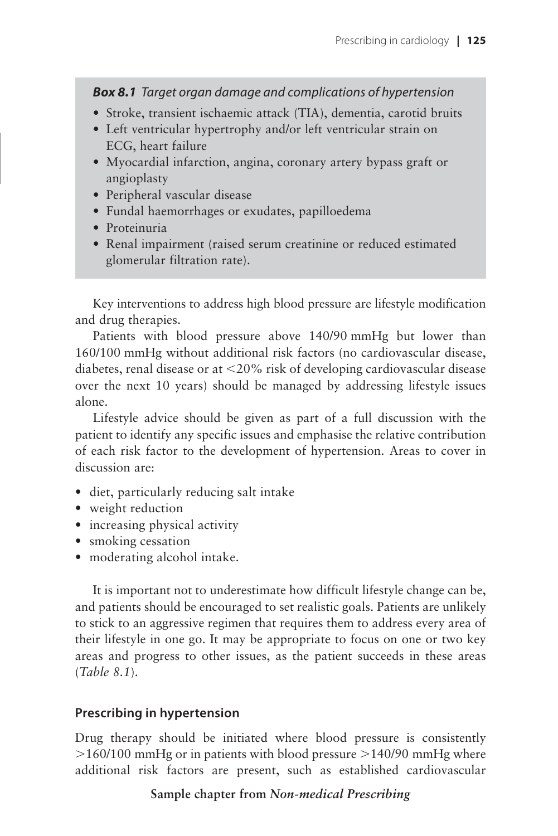#### **Box 8.1** Target organ damage and complications of hypertension

- Stroke, transient ischaemic attack (TIA), dementia, carotid bruits
- Left ventricular hypertrophy and/or left ventricular strain on ECG, heart failure
- Myocardial infarction, angina, coronary artery bypass graft or angioplasty
- Peripheral vascular disease
- Fundal haemorrhages or exudates, papilloedema
- Proteinuria
- Renal impairment (raised serum creatinine or reduced estimated glomerular filtration rate).

Key interventions to address high blood pressure are lifestyle modification and drug therapies.

Patients with blood pressure above 140/90 mmHg but lower than 160/100 mmHg without additional risk factors (no cardiovascular disease, diabetes, renal disease or at -20% risk of developing cardiovascular disease over the next 10 years) should be managed by addressing lifestyle issues alone.

Lifestyle advice should be given as part of a full discussion with the patient to identify any specific issues and emphasise the relative contribution of each risk factor to the development of hypertension. Areas to cover in discussion are:

- diet, particularly reducing salt intake
- weight reduction
- increasing physical activity
- smoking cessation
- moderating alcohol intake.

It is important not to underestimate how difficult lifestyle change can be, and patients should be encouraged to set realistic goals. Patients are unlikely to stick to an aggressive regimen that requires them to address every area of their lifestyle in one go. It may be appropriate to focus on one or two key areas and progress to other issues, as the patient succeeds in these areas (*Table 8.1*).

#### **Prescribing in hypertension**

Drug therapy should be initiated where blood pressure is consistently  $>$ 160/100 mmHg or in patients with blood pressure  $>$ 140/90 mmHg where additional risk factors are present, such as established cardiovascular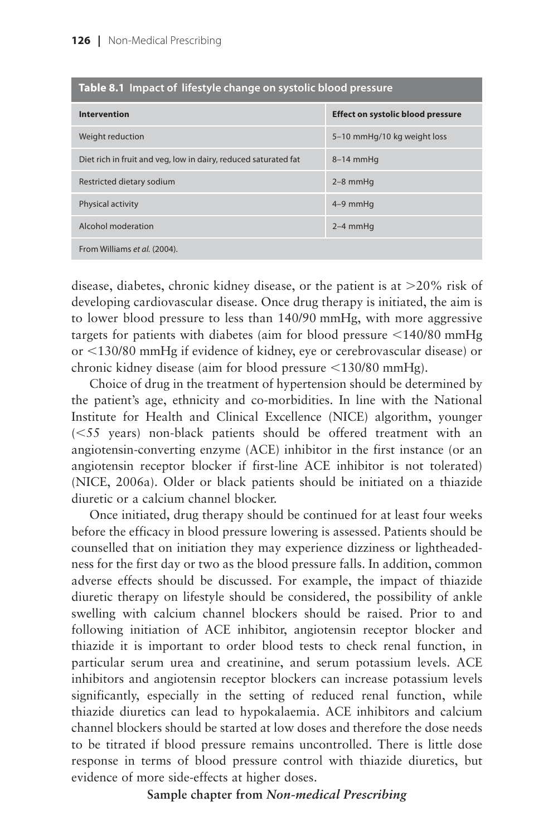| <b>Table 8.1 Impact of lifestyle change on systolic blood pressure</b> |                                   |
|------------------------------------------------------------------------|-----------------------------------|
| Intervention                                                           | Effect on systolic blood pressure |
| Weight reduction                                                       | 5-10 mmHg/10 kg weight loss       |
| Diet rich in fruit and veg, low in dairy, reduced saturated fat        | $8-14$ mmHa                       |
| Restricted dietary sodium                                              | $2-8$ mmHq                        |
| Physical activity                                                      | $4-9$ mmHq                        |
| Alcohol moderation                                                     | $2-4$ mmHq                        |
| From Williams et al. (2004).                                           |                                   |

disease, diabetes, chronic kidney disease, or the patient is at  $>20\%$  risk of developing cardiovascular disease. Once drug therapy is initiated, the aim is to lower blood pressure to less than 140/90 mmHg, with more aggressive targets for patients with diabetes (aim for blood pressure <140/80 mmHg or -130/80 mmHg if evidence of kidney, eye or cerebrovascular disease) or chronic kidney disease (aim for blood pressure <130/80 mmHg).

Choice of drug in the treatment of hypertension should be determined by the patient's age, ethnicity and co-morbidities. In line with the National Institute for Health and Clinical Excellence (NICE) algorithm, younger (-55 years) non-black patients should be offered treatment with an angiotensin-converting enzyme (ACE) inhibitor in the first instance (or an angiotensin receptor blocker if first-line ACE inhibitor is not tolerated) (NICE, 2006a). Older or black patients should be initiated on a thiazide diuretic or a calcium channel blocker.

Once initiated, drug therapy should be continued for at least four weeks before the efficacy in blood pressure lowering is assessed. Patients should be counselled that on initiation they may experience dizziness or lightheadedness for the first day or two as the blood pressure falls. In addition, common adverse effects should be discussed. For example, the impact of thiazide diuretic therapy on lifestyle should be considered, the possibility of ankle swelling with calcium channel blockers should be raised. Prior to and following initiation of ACE inhibitor, angiotensin receptor blocker and thiazide it is important to order blood tests to check renal function, in particular serum urea and creatinine, and serum potassium levels. ACE inhibitors and angiotensin receptor blockers can increase potassium levels significantly, especially in the setting of reduced renal function, while thiazide diuretics can lead to hypokalaemia. ACE inhibitors and calcium channel blockers should be started at low doses and therefore the dose needs to be titrated if blood pressure remains uncontrolled. There is little dose response in terms of blood pressure control with thiazide diuretics, but evidence of more side-effects at higher doses.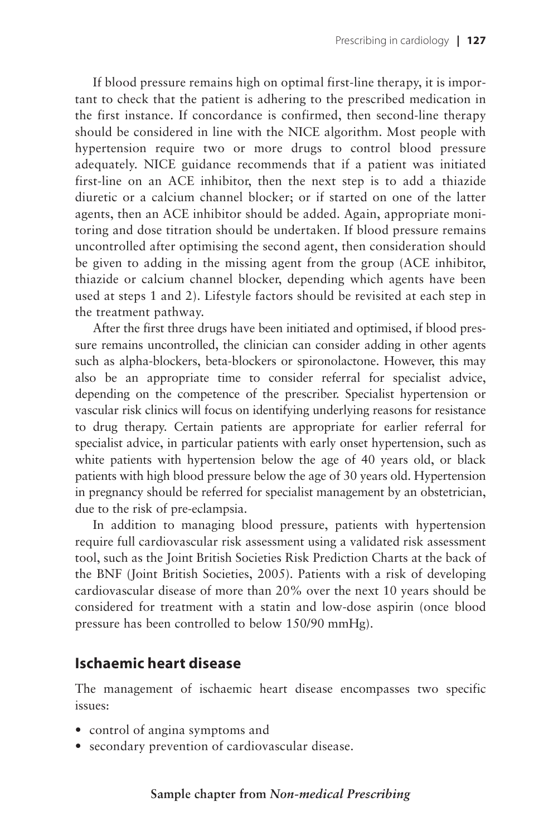If blood pressure remains high on optimal first-line therapy, it is important to check that the patient is adhering to the prescribed medication in the first instance. If concordance is confirmed, then second-line therapy should be considered in line with the NICE algorithm. Most people with hypertension require two or more drugs to control blood pressure adequately. NICE guidance recommends that if a patient was initiated first-line on an ACE inhibitor, then the next step is to add a thiazide diuretic or a calcium channel blocker; or if started on one of the latter agents, then an ACE inhibitor should be added. Again, appropriate monitoring and dose titration should be undertaken. If blood pressure remains uncontrolled after optimising the second agent, then consideration should be given to adding in the missing agent from the group (ACE inhibitor, thiazide or calcium channel blocker, depending which agents have been used at steps 1 and 2). Lifestyle factors should be revisited at each step in the treatment pathway.

After the first three drugs have been initiated and optimised, if blood pressure remains uncontrolled, the clinician can consider adding in other agents such as alpha-blockers, beta-blockers or spironolactone. However, this may also be an appropriate time to consider referral for specialist advice, depending on the competence of the prescriber. Specialist hypertension or vascular risk clinics will focus on identifying underlying reasons for resistance to drug therapy. Certain patients are appropriate for earlier referral for specialist advice, in particular patients with early onset hypertension, such as white patients with hypertension below the age of 40 years old, or black patients with high blood pressure below the age of 30 years old. Hypertension in pregnancy should be referred for specialist management by an obstetrician, due to the risk of pre-eclampsia.

In addition to managing blood pressure, patients with hypertension require full cardiovascular risk assessment using a validated risk assessment tool, such as the Joint British Societies Risk Prediction Charts at the back of the BNF (Joint British Societies, 2005). Patients with a risk of developing cardiovascular disease of more than 20% over the next 10 years should be considered for treatment with a statin and low-dose aspirin (once blood pressure has been controlled to below 150/90 mmHg).

# **Ischaemic heart disease**

The management of ischaemic heart disease encompasses two specific issues:

- control of angina symptoms and
- secondary prevention of cardiovascular disease.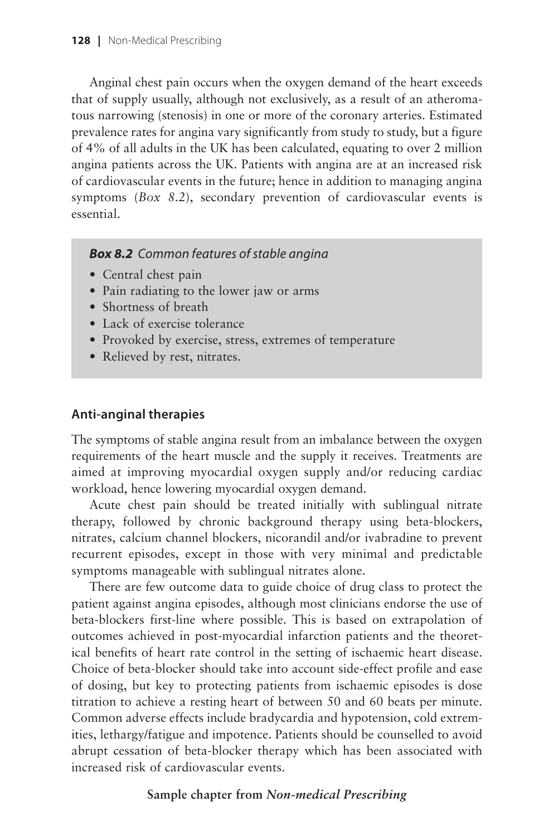Anginal chest pain occurs when the oxygen demand of the heart exceeds that of supply usually, although not exclusively, as a result of an atheromatous narrowing (stenosis) in one or more of the coronary arteries. Estimated prevalence rates for angina vary significantly from study to study, but a figure of 4% of all adults in the UK has been calculated, equating to over 2 million angina patients across the UK. Patients with angina are at an increased risk of cardiovascular events in the future; hence in addition to managing angina symptoms (*Box 8.2*), secondary prevention of cardiovascular events is essential.

#### **Box 8.2** Common features of stable angina

- Central chest pain
- Pain radiating to the lower jaw or arms
- Shortness of breath
- Lack of exercise tolerance
- Provoked by exercise, stress, extremes of temperature
- Relieved by rest, nitrates.

#### **Anti-anginal therapies**

The symptoms of stable angina result from an imbalance between the oxygen requirements of the heart muscle and the supply it receives. Treatments are aimed at improving myocardial oxygen supply and/or reducing cardiac workload, hence lowering myocardial oxygen demand.

Acute chest pain should be treated initially with sublingual nitrate therapy, followed by chronic background therapy using beta-blockers, nitrates, calcium channel blockers, nicorandil and/or ivabradine to prevent recurrent episodes, except in those with very minimal and predictable symptoms manageable with sublingual nitrates alone.

There are few outcome data to guide choice of drug class to protect the patient against angina episodes, although most clinicians endorse the use of beta-blockers first-line where possible. This is based on extrapolation of outcomes achieved in post-myocardial infarction patients and the theoretical benefits of heart rate control in the setting of ischaemic heart disease. Choice of beta-blocker should take into account side-effect profile and ease of dosing, but key to protecting patients from ischaemic episodes is dose titration to achieve a resting heart of between 50 and 60 beats per minute. Common adverse effects include bradycardia and hypotension, cold extremities, lethargy/fatigue and impotence. Patients should be counselled to avoid abrupt cessation of beta-blocker therapy which has been associated with increased risk of cardiovascular events.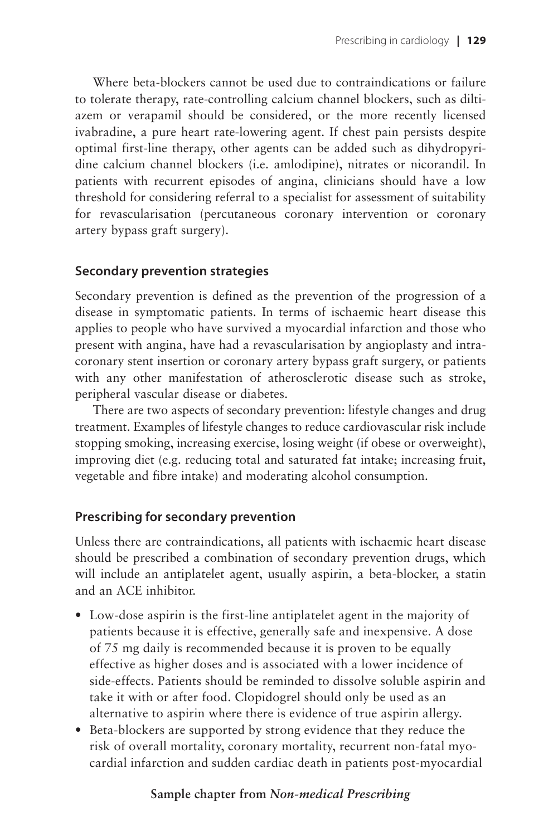Where beta-blockers cannot be used due to contraindications or failure to tolerate therapy, rate-controlling calcium channel blockers, such as diltiazem or verapamil should be considered, or the more recently licensed ivabradine, a pure heart rate-lowering agent. If chest pain persists despite optimal first-line therapy, other agents can be added such as dihydropyridine calcium channel blockers (i.e. amlodipine), nitrates or nicorandil. In patients with recurrent episodes of angina, clinicians should have a low threshold for considering referral to a specialist for assessment of suitability for revascularisation (percutaneous coronary intervention or coronary artery bypass graft surgery).

#### **Secondary prevention strategies**

Secondary prevention is defined as the prevention of the progression of a disease in symptomatic patients. In terms of ischaemic heart disease this applies to people who have survived a myocardial infarction and those who present with angina, have had a revascularisation by angioplasty and intracoronary stent insertion or coronary artery bypass graft surgery, or patients with any other manifestation of atherosclerotic disease such as stroke, peripheral vascular disease or diabetes.

There are two aspects of secondary prevention: lifestyle changes and drug treatment. Examples of lifestyle changes to reduce cardiovascular risk include stopping smoking, increasing exercise, losing weight (if obese or overweight), improving diet (e.g. reducing total and saturated fat intake; increasing fruit, vegetable and fibre intake) and moderating alcohol consumption.

# **Prescribing for secondary prevention**

Unless there are contraindications, all patients with ischaemic heart disease should be prescribed a combination of secondary prevention drugs, which will include an antiplatelet agent, usually aspirin, a beta-blocker, a statin and an ACE inhibitor.

- Low-dose aspirin is the first-line antiplatelet agent in the majority of patients because it is effective, generally safe and inexpensive. A dose of 75 mg daily is recommended because it is proven to be equally effective as higher doses and is associated with a lower incidence of side-effects. Patients should be reminded to dissolve soluble aspirin and take it with or after food. Clopidogrel should only be used as an alternative to aspirin where there is evidence of true aspirin allergy.
- Beta-blockers are supported by strong evidence that they reduce the risk of overall mortality, coronary mortality, recurrent non-fatal myocardial infarction and sudden cardiac death in patients post-myocardial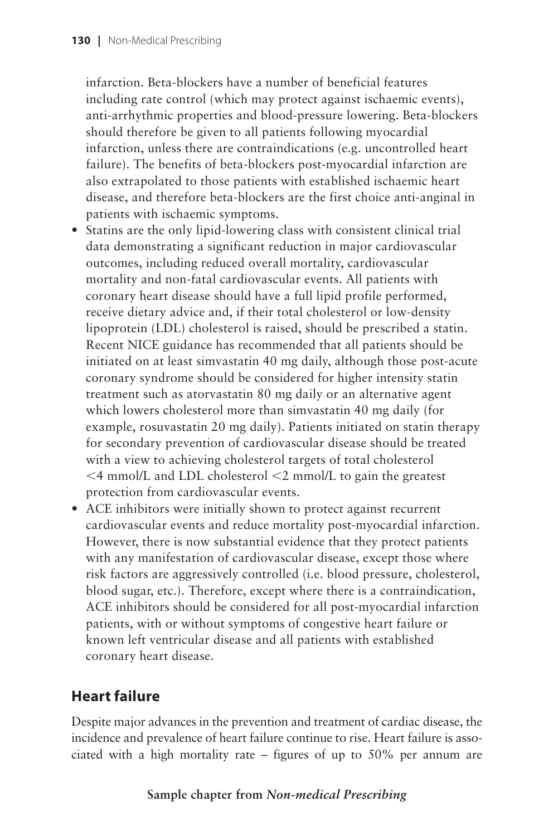infarction. Beta-blockers have a number of beneficial features including rate control (which may protect against ischaemic events), anti-arrhythmic properties and blood-pressure lowering. Beta-blockers should therefore be given to all patients following myocardial infarction, unless there are contraindications (e.g. uncontrolled heart failure). The benefits of beta-blockers post-myocardial infarction are also extrapolated to those patients with established ischaemic heart disease, and therefore beta-blockers are the first choice anti-anginal in patients with ischaemic symptoms.

- Statins are the only lipid-lowering class with consistent clinical trial data demonstrating a significant reduction in major cardiovascular outcomes, including reduced overall mortality, cardiovascular mortality and non-fatal cardiovascular events. All patients with coronary heart disease should have a full lipid profile performed, receive dietary advice and, if their total cholesterol or low-density lipoprotein (LDL) cholesterol is raised, should be prescribed a statin. Recent NICE guidance has recommended that all patients should be initiated on at least simvastatin 40 mg daily, although those post-acute coronary syndrome should be considered for higher intensity statin treatment such as atorvastatin 80 mg daily or an alternative agent which lowers cholesterol more than simvastatin 40 mg daily (for example, rosuvastatin 20 mg daily). Patients initiated on statin therapy for secondary prevention of cardiovascular disease should be treated with a view to achieving cholesterol targets of total cholesterol  $\leq$ 4 mmol/L and LDL cholesterol  $\leq$ 2 mmol/L to gain the greatest protection from cardiovascular events.
- ACE inhibitors were initially shown to protect against recurrent cardiovascular events and reduce mortality post-myocardial infarction. However, there is now substantial evidence that they protect patients with any manifestation of cardiovascular disease, except those where risk factors are aggressively controlled (i.e. blood pressure, cholesterol, blood sugar, etc.). Therefore, except where there is a contraindication, ACE inhibitors should be considered for all post-myocardial infarction patients, with or without symptoms of congestive heart failure or known left ventricular disease and all patients with established coronary heart disease.

# **Heart failure**

Despite major advances in the prevention and treatment of cardiac disease, the incidence and prevalence of heart failure continue to rise. Heart failure is associated with a high mortality rate – figures of up to 50% per annum are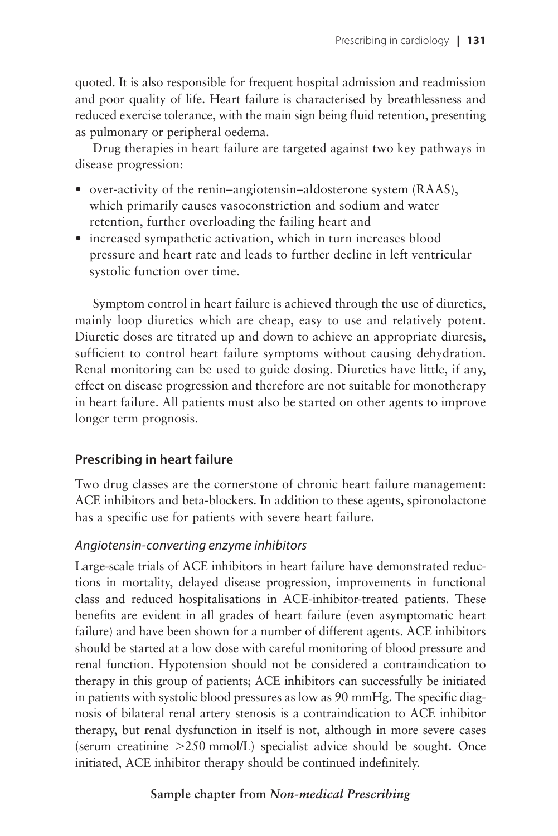quoted. It is also responsible for frequent hospital admission and readmission and poor quality of life. Heart failure is characterised by breathlessness and reduced exercise tolerance, with the main sign being fluid retention, presenting as pulmonary or peripheral oedema.

Drug therapies in heart failure are targeted against two key pathways in disease progression:

- over-activity of the renin–angiotensin–aldosterone system (RAAS), which primarily causes vasoconstriction and sodium and water retention, further overloading the failing heart and
- increased sympathetic activation, which in turn increases blood pressure and heart rate and leads to further decline in left ventricular systolic function over time.

Symptom control in heart failure is achieved through the use of diuretics, mainly loop diuretics which are cheap, easy to use and relatively potent. Diuretic doses are titrated up and down to achieve an appropriate diuresis, sufficient to control heart failure symptoms without causing dehydration. Renal monitoring can be used to guide dosing. Diuretics have little, if any, effect on disease progression and therefore are not suitable for monotherapy in heart failure. All patients must also be started on other agents to improve longer term prognosis.

# **Prescribing in heart failure**

Two drug classes are the cornerstone of chronic heart failure management: ACE inhibitors and beta-blockers. In addition to these agents, spironolactone has a specific use for patients with severe heart failure.

#### Angiotensin-converting enzyme inhibitors

Large-scale trials of ACE inhibitors in heart failure have demonstrated reductions in mortality, delayed disease progression, improvements in functional class and reduced hospitalisations in ACE-inhibitor-treated patients. These benefits are evident in all grades of heart failure (even asymptomatic heart failure) and have been shown for a number of different agents. ACE inhibitors should be started at a low dose with careful monitoring of blood pressure and renal function. Hypotension should not be considered a contraindication to therapy in this group of patients; ACE inhibitors can successfully be initiated in patients with systolic blood pressures as low as 90 mmHg. The specific diagnosis of bilateral renal artery stenosis is a contraindication to ACE inhibitor therapy, but renal dysfunction in itself is not, although in more severe cases (serum creatinine  $>250$  mmol/L) specialist advice should be sought. Once initiated, ACE inhibitor therapy should be continued indefinitely.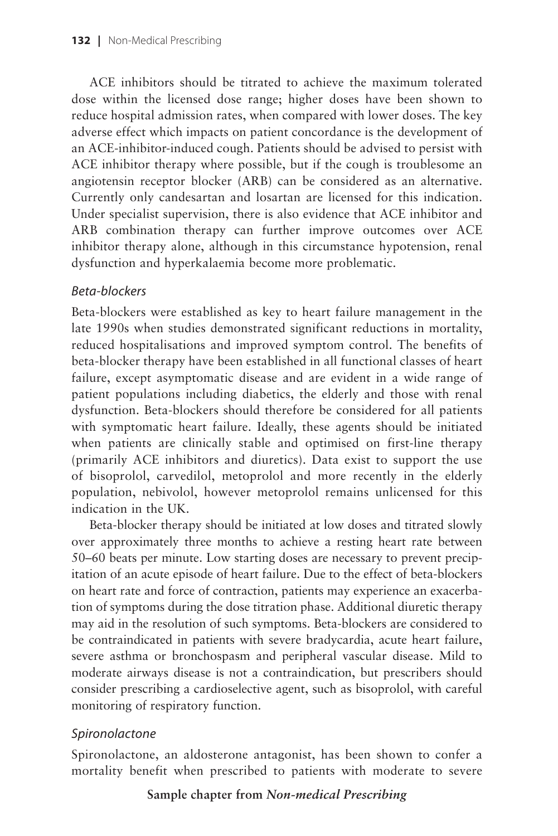ACE inhibitors should be titrated to achieve the maximum tolerated dose within the licensed dose range; higher doses have been shown to reduce hospital admission rates, when compared with lower doses. The key adverse effect which impacts on patient concordance is the development of an ACE-inhibitor-induced cough. Patients should be advised to persist with ACE inhibitor therapy where possible, but if the cough is troublesome an angiotensin receptor blocker (ARB) can be considered as an alternative. Currently only candesartan and losartan are licensed for this indication. Under specialist supervision, there is also evidence that ACE inhibitor and ARB combination therapy can further improve outcomes over ACE inhibitor therapy alone, although in this circumstance hypotension, renal dysfunction and hyperkalaemia become more problematic.

#### Beta-blockers

Beta-blockers were established as key to heart failure management in the late 1990s when studies demonstrated significant reductions in mortality, reduced hospitalisations and improved symptom control. The benefits of beta-blocker therapy have been established in all functional classes of heart failure, except asymptomatic disease and are evident in a wide range of patient populations including diabetics, the elderly and those with renal dysfunction. Beta-blockers should therefore be considered for all patients with symptomatic heart failure. Ideally, these agents should be initiated when patients are clinically stable and optimised on first-line therapy (primarily ACE inhibitors and diuretics). Data exist to support the use of bisoprolol, carvedilol, metoprolol and more recently in the elderly population, nebivolol, however metoprolol remains unlicensed for this indication in the UK.

Beta-blocker therapy should be initiated at low doses and titrated slowly over approximately three months to achieve a resting heart rate between 50–60 beats per minute. Low starting doses are necessary to prevent precipitation of an acute episode of heart failure. Due to the effect of beta-blockers on heart rate and force of contraction, patients may experience an exacerbation of symptoms during the dose titration phase. Additional diuretic therapy may aid in the resolution of such symptoms. Beta-blockers are considered to be contraindicated in patients with severe bradycardia, acute heart failure, severe asthma or bronchospasm and peripheral vascular disease. Mild to moderate airways disease is not a contraindication, but prescribers should consider prescribing a cardioselective agent, such as bisoprolol, with careful monitoring of respiratory function.

# Spironolactone

Spironolactone, an aldosterone antagonist, has been shown to confer a mortality benefit when prescribed to patients with moderate to severe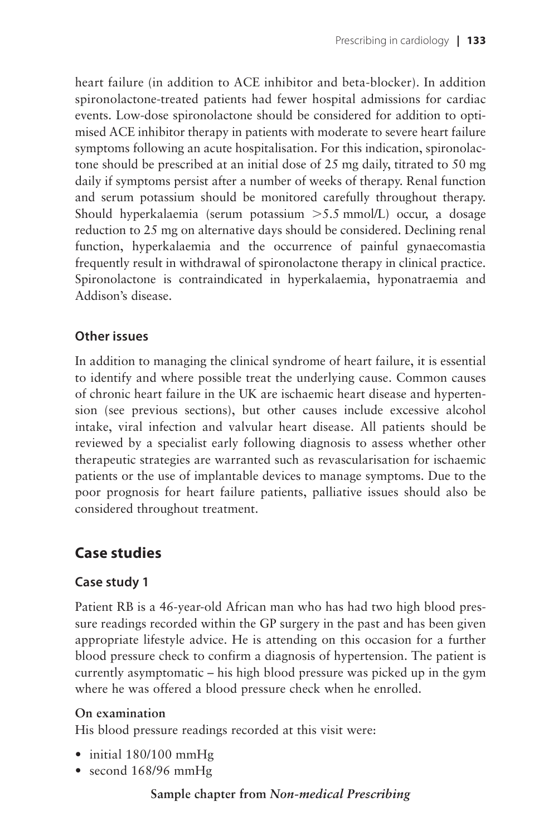heart failure (in addition to ACE inhibitor and beta-blocker). In addition spironolactone-treated patients had fewer hospital admissions for cardiac events. Low-dose spironolactone should be considered for addition to optimised ACE inhibitor therapy in patients with moderate to severe heart failure symptoms following an acute hospitalisation. For this indication, spironolactone should be prescribed at an initial dose of 25 mg daily, titrated to 50 mg daily if symptoms persist after a number of weeks of therapy. Renal function and serum potassium should be monitored carefully throughout therapy. Should hyperkalaemia (serum potassium  $>5.5$  mmol/L) occur, a dosage reduction to 25 mg on alternative days should be considered. Declining renal function, hyperkalaemia and the occurrence of painful gynaecomastia frequently result in withdrawal of spironolactone therapy in clinical practice. Spironolactone is contraindicated in hyperkalaemia, hyponatraemia and Addison's disease.

#### **Other issues**

In addition to managing the clinical syndrome of heart failure, it is essential to identify and where possible treat the underlying cause. Common causes of chronic heart failure in the UK are ischaemic heart disease and hypertension (see previous sections), but other causes include excessive alcohol intake, viral infection and valvular heart disease. All patients should be reviewed by a specialist early following diagnosis to assess whether other therapeutic strategies are warranted such as revascularisation for ischaemic patients or the use of implantable devices to manage symptoms. Due to the poor prognosis for heart failure patients, palliative issues should also be considered throughout treatment.

# **Case studies**

# **Case study 1**

Patient RB is a 46-year-old African man who has had two high blood pressure readings recorded within the GP surgery in the past and has been given appropriate lifestyle advice. He is attending on this occasion for a further blood pressure check to confirm a diagnosis of hypertension. The patient is currently asymptomatic – his high blood pressure was picked up in the gym where he was offered a blood pressure check when he enrolled.

#### **On examination**

His blood pressure readings recorded at this visit were:

- initial 180/100 mmHg
- second 168/96 mmHg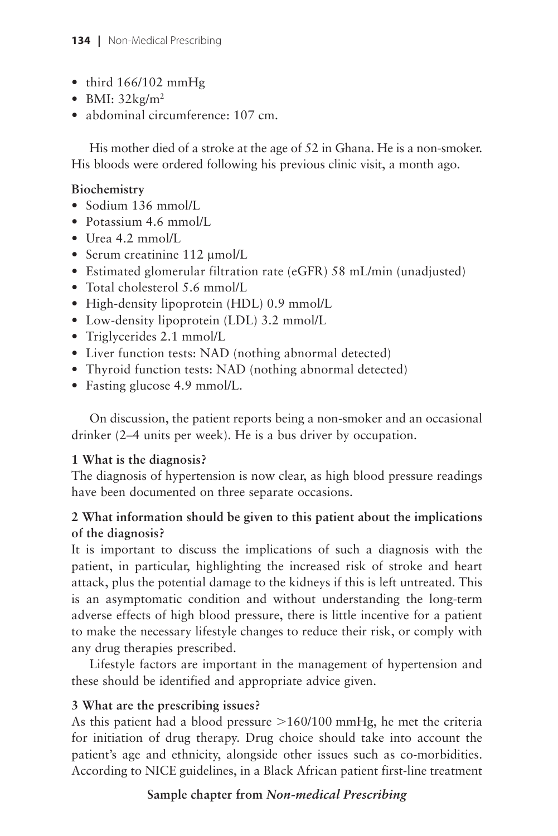- $\bullet$  third 166/102 mmHg
- $\bullet$  BMI:  $32kg/m^2$
- abdominal circumference: 107 cm.

His mother died of a stroke at the age of 52 in Ghana. He is a non-smoker. His bloods were ordered following his previous clinic visit, a month ago.

#### **Biochemistry**

- Sodium 136 mmol/L
- Potassium 4.6 mmol/L
- Urea 4.2 mmol/L
- Serum creatinine 112 umol/L
- Estimated glomerular filtration rate (eGFR) 58 mL/min (unadjusted)
- Total cholesterol 5.6 mmol/L
- High-density lipoprotein (HDL) 0.9 mmol/L
- Low-density lipoprotein (LDL) 3.2 mmol/L
- Triglycerides 2.1 mmol/L
- Liver function tests: NAD (nothing abnormal detected)
- Thyroid function tests: NAD (nothing abnormal detected)
- Fasting glucose 4.9 mmol/L.

On discussion, the patient reports being a non-smoker and an occasional drinker (2–4 units per week). He is a bus driver by occupation.

#### **1 What is the diagnosis?**

The diagnosis of hypertension is now clear, as high blood pressure readings have been documented on three separate occasions.

#### **2 What information should be given to this patient about the implications of the diagnosis?**

It is important to discuss the implications of such a diagnosis with the patient, in particular, highlighting the increased risk of stroke and heart attack, plus the potential damage to the kidneys if this is left untreated. This is an asymptomatic condition and without understanding the long-term adverse effects of high blood pressure, there is little incentive for a patient to make the necessary lifestyle changes to reduce their risk, or comply with any drug therapies prescribed.

Lifestyle factors are important in the management of hypertension and these should be identified and appropriate advice given.

#### **3 What are the prescribing issues?**

As this patient had a blood pressure  $>160/100$  mmHg, he met the criteria for initiation of drug therapy. Drug choice should take into account the patient's age and ethnicity, alongside other issues such as co-morbidities. According to NICE guidelines, in a Black African patient first-line treatment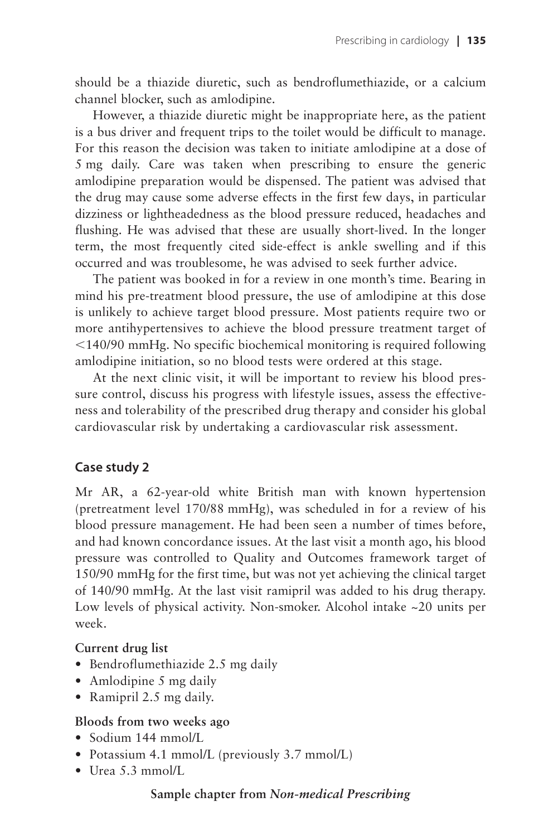should be a thiazide diuretic, such as bendroflumethiazide, or a calcium channel blocker, such as amlodipine.

However, a thiazide diuretic might be inappropriate here, as the patient is a bus driver and frequent trips to the toilet would be difficult to manage. For this reason the decision was taken to initiate amlodipine at a dose of 5 mg daily. Care was taken when prescribing to ensure the generic amlodipine preparation would be dispensed. The patient was advised that the drug may cause some adverse effects in the first few days, in particular dizziness or lightheadedness as the blood pressure reduced, headaches and flushing. He was advised that these are usually short-lived. In the longer term, the most frequently cited side-effect is ankle swelling and if this occurred and was troublesome, he was advised to seek further advice.

The patient was booked in for a review in one month's time. Bearing in mind his pre-treatment blood pressure, the use of amlodipine at this dose is unlikely to achieve target blood pressure. Most patients require two or more antihypertensives to achieve the blood pressure treatment target of -140/90 mmHg. No specific biochemical monitoring is required following amlodipine initiation, so no blood tests were ordered at this stage.

At the next clinic visit, it will be important to review his blood pressure control, discuss his progress with lifestyle issues, assess the effectiveness and tolerability of the prescribed drug therapy and consider his global cardiovascular risk by undertaking a cardiovascular risk assessment.

# **Case study 2**

Mr AR, a 62-year-old white British man with known hypertension (pretreatment level 170/88 mmHg), was scheduled in for a review of his blood pressure management. He had been seen a number of times before, and had known concordance issues. At the last visit a month ago, his blood pressure was controlled to Quality and Outcomes framework target of 150/90 mmHg for the first time, but was not yet achieving the clinical target of 140/90 mmHg. At the last visit ramipril was added to his drug therapy. Low levels of physical activity. Non-smoker. Alcohol intake ~20 units per week.

#### **Current drug list**

- Bendroflumethiazide 2.5 mg daily
- Amlodipine 5 mg daily
- Ramipril 2.5 mg daily.

#### **Bloods from two weeks ago**

- Sodium 144 mmol/L
- Potassium 4.1 mmol/L (previously 3.7 mmol/L)
- Urea 5.3 mmol/L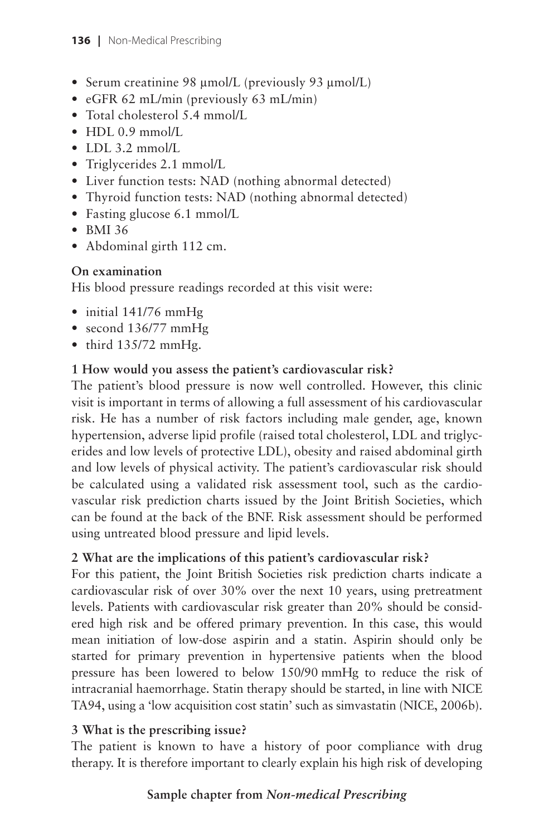- Serum creatinine 98 umol/L (previously 93 umol/L)
- eGFR 62 mL/min (previously 63 mL/min)
- Total cholesterol 5.4 mmol/L
- $\bullet$  HDL 0.9 mmol/L
- $\bullet$  LDL 3.2 mmol/L
- Triglycerides 2.1 mmol/L
- Liver function tests: NAD (nothing abnormal detected)
- Thyroid function tests: NAD (nothing abnormal detected)
- Fasting glucose 6.1 mmol/L
- BMI 36
- Abdominal girth 112 cm.

#### **On examination**

His blood pressure readings recorded at this visit were:

- initial 141/76 mmHg
- second 136/77 mmHg
- third 135/72 mmHg.

#### **1 How would you assess the patient's cardiovascular risk?**

The patient's blood pressure is now well controlled. However, this clinic visit is important in terms of allowing a full assessment of his cardiovascular risk. He has a number of risk factors including male gender, age, known hypertension, adverse lipid profile (raised total cholesterol, LDL and triglycerides and low levels of protective LDL), obesity and raised abdominal girth and low levels of physical activity. The patient's cardiovascular risk should be calculated using a validated risk assessment tool, such as the cardiovascular risk prediction charts issued by the Joint British Societies, which can be found at the back of the BNF. Risk assessment should be performed using untreated blood pressure and lipid levels.

#### **2 What are the implications of this patient's cardiovascular risk?**

For this patient, the Joint British Societies risk prediction charts indicate a cardiovascular risk of over 30% over the next 10 years, using pretreatment levels. Patients with cardiovascular risk greater than 20% should be considered high risk and be offered primary prevention. In this case, this would mean initiation of low-dose aspirin and a statin. Aspirin should only be started for primary prevention in hypertensive patients when the blood pressure has been lowered to below 150/90 mmHg to reduce the risk of intracranial haemorrhage. Statin therapy should be started, in line with NICE TA94, using a 'low acquisition cost statin' such as simvastatin (NICE, 2006b).

# **3 What is the prescribing issue?**

The patient is known to have a history of poor compliance with drug therapy. It is therefore important to clearly explain his high risk of developing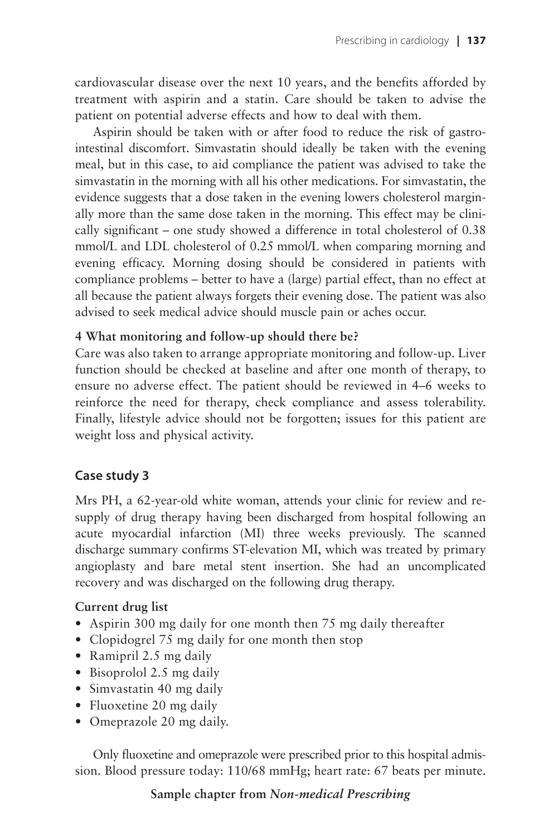cardiovascular disease over the next 10 years, and the benefits afforded by treatment with aspirin and a statin. Care should be taken to advise the patient on potential adverse effects and how to deal with them.

Aspirin should be taken with or after food to reduce the risk of gastrointestinal discomfort. Simvastatin should ideally be taken with the evening meal, but in this case, to aid compliance the patient was advised to take the simvastatin in the morning with all his other medications. For simvastatin, the evidence suggests that a dose taken in the evening lowers cholesterol marginally more than the same dose taken in the morning. This effect may be clinically significant – one study showed a difference in total cholesterol of 0.38 mmol/L and LDL cholesterol of 0.25 mmol/L when comparing morning and evening efficacy. Morning dosing should be considered in patients with compliance problems – better to have a (large) partial effect, than no effect at all because the patient always forgets their evening dose. The patient was also advised to seek medical advice should muscle pain or aches occur.

#### **4 What monitoring and follow-up should there be?**

Care was also taken to arrange appropriate monitoring and follow-up. Liver function should be checked at baseline and after one month of therapy, to ensure no adverse effect. The patient should be reviewed in 4–6 weeks to reinforce the need for therapy, check compliance and assess tolerability. Finally, lifestyle advice should not be forgotten; issues for this patient are weight loss and physical activity.

#### **Case study 3**

Mrs PH, a 62-year-old white woman, attends your clinic for review and resupply of drug therapy having been discharged from hospital following an acute myocardial infarction (MI) three weeks previously. The scanned discharge summary confirms ST-elevation MI, which was treated by primary angioplasty and bare metal stent insertion. She had an uncomplicated recovery and was discharged on the following drug therapy.

#### **Current drug list**

- Aspirin 300 mg daily for one month then 75 mg daily thereafter
- Clopidogrel 75 mg daily for one month then stop
- Ramipril 2.5 mg daily
- Bisoprolol 2.5 mg daily
- Simvastatin 40 mg daily
- Fluoxetine 20 mg daily
- Omeprazole 20 mg daily.

Only fluoxetine and omeprazole were prescribed prior to this hospital admission. Blood pressure today: 110/68 mmHg; heart rate: 67 beats per minute.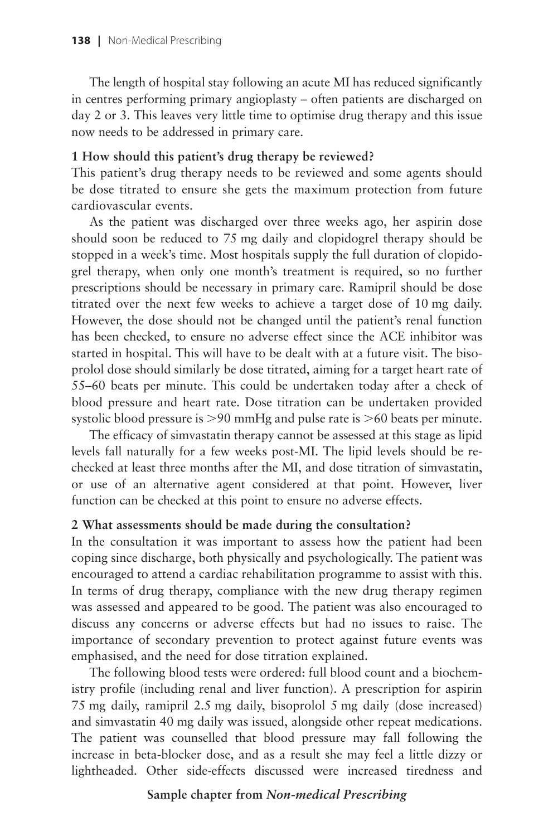The length of hospital stay following an acute MI has reduced significantly in centres performing primary angioplasty – often patients are discharged on day 2 or 3. This leaves very little time to optimise drug therapy and this issue now needs to be addressed in primary care.

#### **1 How should this patient's drug therapy be reviewed?**

This patient's drug therapy needs to be reviewed and some agents should be dose titrated to ensure she gets the maximum protection from future cardiovascular events.

As the patient was discharged over three weeks ago, her aspirin dose should soon be reduced to 75 mg daily and clopidogrel therapy should be stopped in a week's time. Most hospitals supply the full duration of clopidogrel therapy, when only one month's treatment is required, so no further prescriptions should be necessary in primary care. Ramipril should be dose titrated over the next few weeks to achieve a target dose of 10 mg daily. However, the dose should not be changed until the patient's renal function has been checked, to ensure no adverse effect since the ACE inhibitor was started in hospital. This will have to be dealt with at a future visit. The bisoprolol dose should similarly be dose titrated, aiming for a target heart rate of 55–60 beats per minute. This could be undertaken today after a check of blood pressure and heart rate. Dose titration can be undertaken provided systolic blood pressure is  $> 90$  mmHg and pulse rate is  $> 60$  beats per minute.

The efficacy of simvastatin therapy cannot be assessed at this stage as lipid levels fall naturally for a few weeks post-MI. The lipid levels should be rechecked at least three months after the MI, and dose titration of simvastatin, or use of an alternative agent considered at that point. However, liver function can be checked at this point to ensure no adverse effects.

#### **2 What assessments should be made during the consultation?**

In the consultation it was important to assess how the patient had been coping since discharge, both physically and psychologically. The patient was encouraged to attend a cardiac rehabilitation programme to assist with this. In terms of drug therapy, compliance with the new drug therapy regimen was assessed and appeared to be good. The patient was also encouraged to discuss any concerns or adverse effects but had no issues to raise. The importance of secondary prevention to protect against future events was emphasised, and the need for dose titration explained.

The following blood tests were ordered: full blood count and a biochemistry profile (including renal and liver function). A prescription for aspirin 75 mg daily, ramipril 2.5 mg daily, bisoprolol 5 mg daily (dose increased) and simvastatin 40 mg daily was issued, alongside other repeat medications. The patient was counselled that blood pressure may fall following the increase in beta-blocker dose, and as a result she may feel a little dizzy or lightheaded. Other side-effects discussed were increased tiredness and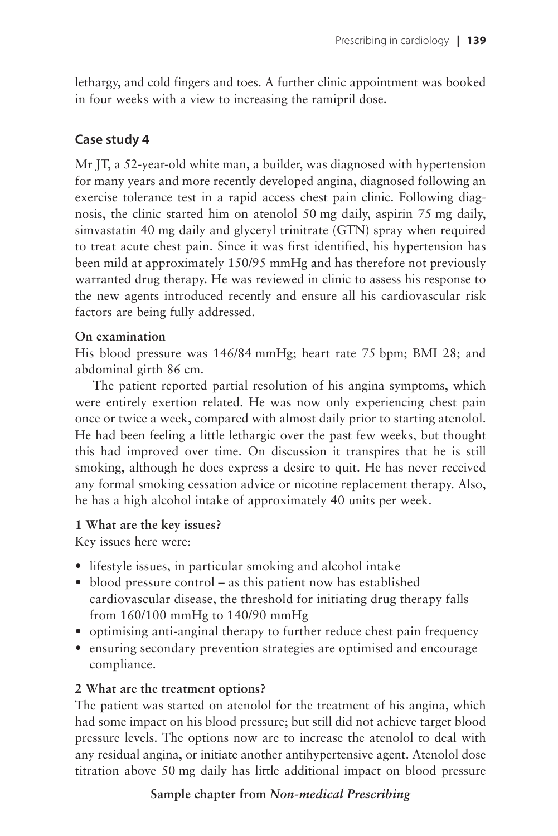lethargy, and cold fingers and toes. A further clinic appointment was booked in four weeks with a view to increasing the ramipril dose.

# **Case study 4**

Mr JT, a 52-year-old white man, a builder, was diagnosed with hypertension for many years and more recently developed angina, diagnosed following an exercise tolerance test in a rapid access chest pain clinic. Following diagnosis, the clinic started him on atenolol 50 mg daily, aspirin 75 mg daily, simvastatin 40 mg daily and glyceryl trinitrate (GTN) spray when required to treat acute chest pain. Since it was first identified, his hypertension has been mild at approximately 150/95 mmHg and has therefore not previously warranted drug therapy. He was reviewed in clinic to assess his response to the new agents introduced recently and ensure all his cardiovascular risk factors are being fully addressed.

#### **On examination**

His blood pressure was 146/84 mmHg; heart rate 75 bpm; BMI 28; and abdominal girth 86 cm.

The patient reported partial resolution of his angina symptoms, which were entirely exertion related. He was now only experiencing chest pain once or twice a week, compared with almost daily prior to starting atenolol. He had been feeling a little lethargic over the past few weeks, but thought this had improved over time. On discussion it transpires that he is still smoking, although he does express a desire to quit. He has never received any formal smoking cessation advice or nicotine replacement therapy. Also, he has a high alcohol intake of approximately 40 units per week.

#### **1 What are the key issues?**

Key issues here were:

- lifestyle issues, in particular smoking and alcohol intake
- blood pressure control as this patient now has established cardiovascular disease, the threshold for initiating drug therapy falls from 160/100 mmHg to 140/90 mmHg
- optimising anti-anginal therapy to further reduce chest pain frequency
- ensuring secondary prevention strategies are optimised and encourage compliance.

#### **2 What are the treatment options?**

The patient was started on atenolol for the treatment of his angina, which had some impact on his blood pressure; but still did not achieve target blood pressure levels. The options now are to increase the atenolol to deal with any residual angina, or initiate another antihypertensive agent. Atenolol dose titration above 50 mg daily has little additional impact on blood pressure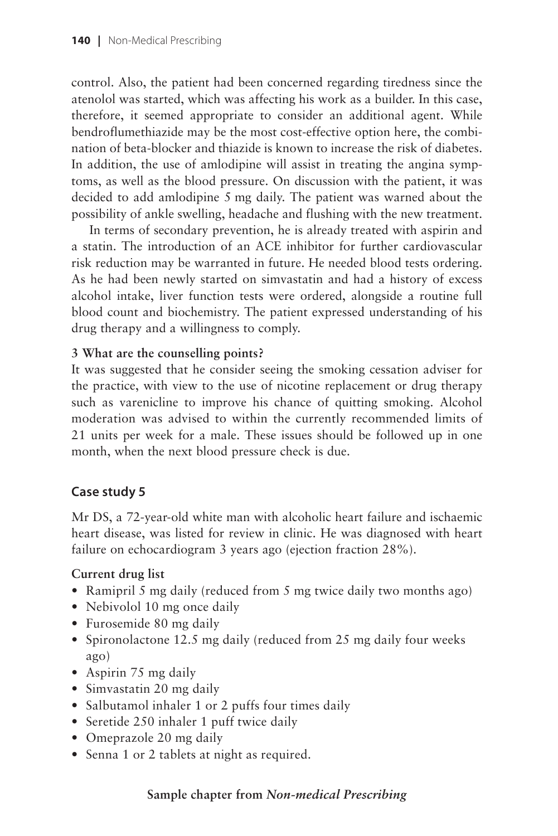control. Also, the patient had been concerned regarding tiredness since the atenolol was started, which was affecting his work as a builder. In this case, therefore, it seemed appropriate to consider an additional agent. While bendroflumethiazide may be the most cost-effective option here, the combination of beta-blocker and thiazide is known to increase the risk of diabetes. In addition, the use of amlodipine will assist in treating the angina symptoms, as well as the blood pressure. On discussion with the patient, it was decided to add amlodipine 5 mg daily. The patient was warned about the possibility of ankle swelling, headache and flushing with the new treatment.

In terms of secondary prevention, he is already treated with aspirin and a statin. The introduction of an ACE inhibitor for further cardiovascular risk reduction may be warranted in future. He needed blood tests ordering. As he had been newly started on simvastatin and had a history of excess alcohol intake, liver function tests were ordered, alongside a routine full blood count and biochemistry. The patient expressed understanding of his drug therapy and a willingness to comply.

#### **3 What are the counselling points?**

It was suggested that he consider seeing the smoking cessation adviser for the practice, with view to the use of nicotine replacement or drug therapy such as varenicline to improve his chance of quitting smoking. Alcohol moderation was advised to within the currently recommended limits of 21 units per week for a male. These issues should be followed up in one month, when the next blood pressure check is due.

# **Case study 5**

Mr DS, a 72-year-old white man with alcoholic heart failure and ischaemic heart disease, was listed for review in clinic. He was diagnosed with heart failure on echocardiogram 3 years ago (ejection fraction 28%).

# **Current drug list**

- Ramipril 5 mg daily (reduced from 5 mg twice daily two months ago)
- Nebivolol 10 mg once daily
- Furosemide 80 mg daily
- Spironolactone 12.5 mg daily (reduced from 25 mg daily four weeks ago)
- Aspirin 75 mg daily
- Simvastatin 20 mg daily
- Salbutamol inhaler 1 or 2 puffs four times daily
- Seretide 250 inhaler 1 puff twice daily
- Omeprazole 20 mg daily
- Senna 1 or 2 tablets at night as required.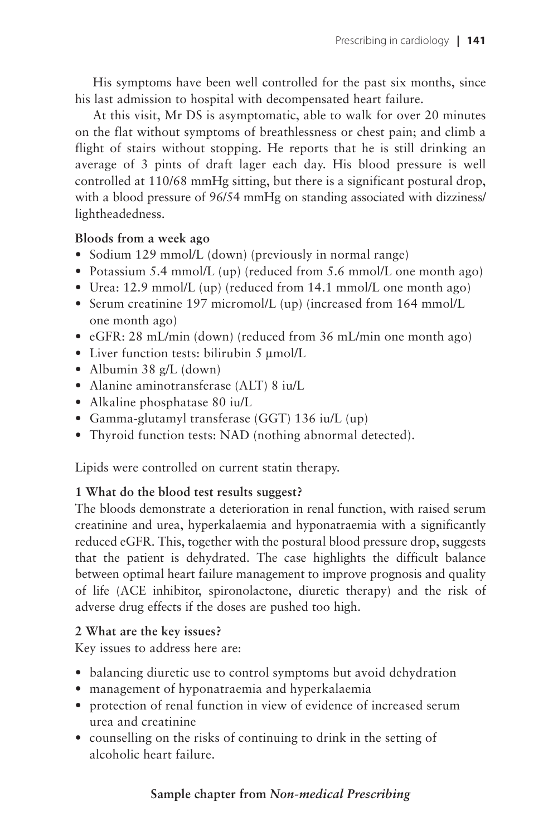His symptoms have been well controlled for the past six months, since his last admission to hospital with decompensated heart failure.

At this visit, Mr DS is asymptomatic, able to walk for over 20 minutes on the flat without symptoms of breathlessness or chest pain; and climb a flight of stairs without stopping. He reports that he is still drinking an average of 3 pints of draft lager each day. His blood pressure is well controlled at 110/68 mmHg sitting, but there is a significant postural drop, with a blood pressure of 96/54 mmHg on standing associated with dizziness/ lightheadedness.

#### **Bloods from a week ago**

- Sodium 129 mmol/L (down) (previously in normal range)
- Potassium 5.4 mmol/L (up) (reduced from 5.6 mmol/L one month ago)
- Urea: 12.9 mmol/L (up) (reduced from 14.1 mmol/L one month ago)
- Serum creatinine 197 micromol/L (up) (increased from 164 mmol/L one month ago)
- eGFR: 28 mL/min (down) (reduced from 36 mL/min one month ago)
- Liver function tests: bilirubin 5  $\mu$ mol/L
- Albumin 38 g/L (down)
- Alanine aminotransferase (ALT) 8 iu/L
- Alkaline phosphatase 80 iu/L
- Gamma*-*glutamyl transferase (GGT) 136 iu/L (up)
- Thyroid function tests: NAD (nothing abnormal detected).

Lipids were controlled on current statin therapy.

# **1 What do the blood test results suggest?**

The bloods demonstrate a deterioration in renal function, with raised serum creatinine and urea, hyperkalaemia and hyponatraemia with a significantly reduced eGFR. This, together with the postural blood pressure drop, suggests that the patient is dehydrated. The case highlights the difficult balance between optimal heart failure management to improve prognosis and quality of life (ACE inhibitor, spironolactone, diuretic therapy) and the risk of adverse drug effects if the doses are pushed too high.

# **2 What are the key issues?**

Key issues to address here are:

- balancing diuretic use to control symptoms but avoid dehydration
- management of hyponatraemia and hyperkalaemia
- protection of renal function in view of evidence of increased serum urea and creatinine
- counselling on the risks of continuing to drink in the setting of alcoholic heart failure.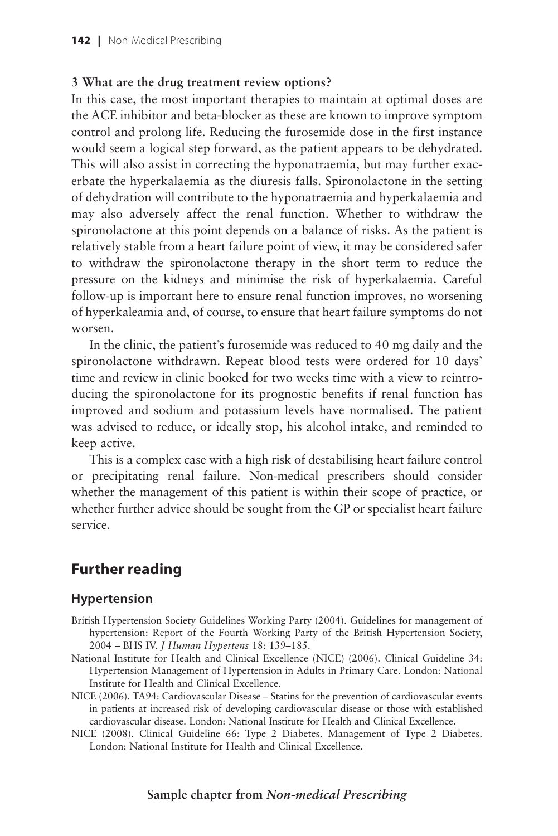#### **3 What are the drug treatment review options?**

In this case, the most important therapies to maintain at optimal doses are the ACE inhibitor and beta-blocker as these are known to improve symptom control and prolong life. Reducing the furosemide dose in the first instance would seem a logical step forward, as the patient appears to be dehydrated. This will also assist in correcting the hyponatraemia, but may further exacerbate the hyperkalaemia as the diuresis falls. Spironolactone in the setting of dehydration will contribute to the hyponatraemia and hyperkalaemia and may also adversely affect the renal function. Whether to withdraw the spironolactone at this point depends on a balance of risks. As the patient is relatively stable from a heart failure point of view, it may be considered safer to withdraw the spironolactone therapy in the short term to reduce the pressure on the kidneys and minimise the risk of hyperkalaemia. Careful follow-up is important here to ensure renal function improves, no worsening of hyperkaleamia and, of course, to ensure that heart failure symptoms do not worsen.

In the clinic, the patient's furosemide was reduced to 40 mg daily and the spironolactone withdrawn. Repeat blood tests were ordered for 10 days' time and review in clinic booked for two weeks time with a view to reintroducing the spironolactone for its prognostic benefits if renal function has improved and sodium and potassium levels have normalised. The patient was advised to reduce, or ideally stop, his alcohol intake, and reminded to keep active.

This is a complex case with a high risk of destabilising heart failure control or precipitating renal failure. Non-medical prescribers should consider whether the management of this patient is within their scope of practice, or whether further advice should be sought from the GP or specialist heart failure service.

# **Further reading**

#### **Hypertension**

- British Hypertension Society Guidelines Working Party (2004). Guidelines for management of hypertension: Report of the Fourth Working Party of the British Hypertension Society, 2004 – BHS IV. *J Human Hypertens* 18: 139–185.
- National Institute for Health and Clinical Excellence (NICE) (2006). *C*linical Guideline 34: Hypertension Management of Hypertension in Adults in Primary Care. London: National Institute for Health and Clinical Excellence.
- NICE (2006). TA94: Cardiovascular Disease Statins for the prevention of cardiovascular events in patients at increased risk of developing cardiovascular disease or those with established cardiovascular disease. London: National Institute for Health and Clinical Excellence.
- NICE (2008). Clinical Guideline 66: Type 2 Diabetes. Management of Type 2 Diabetes. London: National Institute for Health and Clinical Excellence.